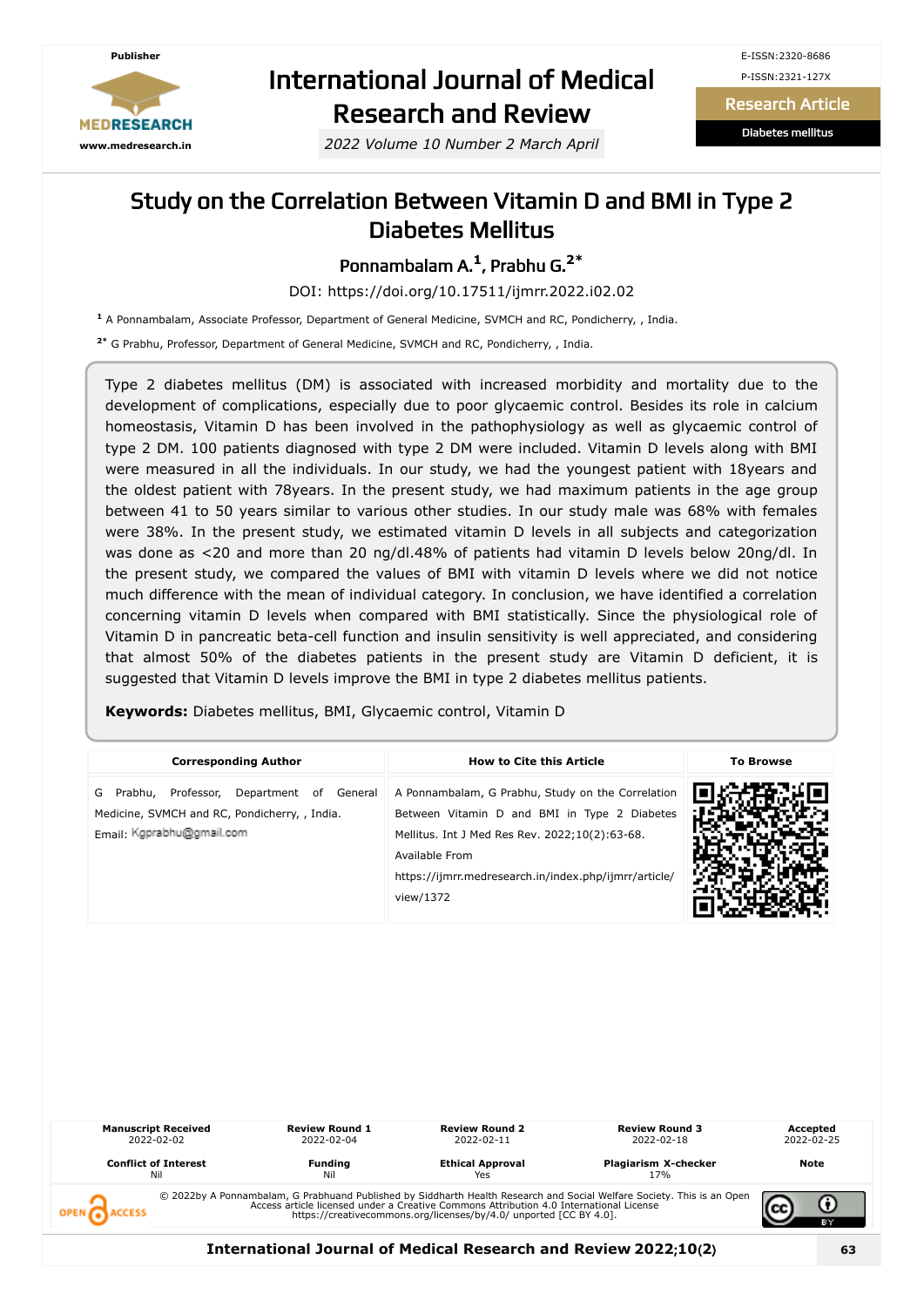

# International Journal of Medical Research and Review

*2022 Volume 10 Number 2 March April*

E-ISSN:2320-8686 P-ISSN:2321-127X

Research Article

Diabetes mellitus

### Study on the Correlation Between Vitamin D and BMI in Type 2 Diabetes Mellitus

Ponnambalam A. **1** , Prabhu G. **2\***

DOI: https://doi.org/10.17511/ijmrr.2022.i02.02

**1** A Ponnambalam, Associate Professor, Department of General Medicine, SVMCH and RC, Pondicherry, , India.

**2\*** G Prabhu, Professor, Department of General Medicine, SVMCH and RC, Pondicherry, , India.

Type 2 diabetes mellitus (DM) is associated with increased morbidity and mortality due to the development of complications, especially due to poor glycaemic control. Besides its role in calcium homeostasis, Vitamin D has been involved in the pathophysiology as well as glycaemic control of type 2 DM. 100 patients diagnosed with type 2 DM were included. Vitamin D levels along with BMI were measured in all the individuals. In our study, we had the youngest patient with 18years and the oldest patient with 78years. In the present study, we had maximum patients in the age group between 41 to 50 years similar to various other studies. In our study male was 68% with females were 38%. In the present study, we estimated vitamin D levels in all subjects and categorization was done as <20 and more than 20 ng/dl.48% of patients had vitamin D levels below 20ng/dl. In the present study, we compared the values of BMI with vitamin D levels where we did not notice much difference with the mean of individual category. In conclusion, we have identified a correlation concerning vitamin D levels when compared with BMI statistically. Since the physiological role of Vitamin D in pancreatic beta-cell function and insulin sensitivity is well appreciated, and considering that almost 50% of the diabetes patients in the present study are Vitamin D deficient, it is suggested that Vitamin D levels improve the BMI in type 2 diabetes mellitus patients.

**Keywords:** Diabetes mellitus, BMI, Glycaemic control, Vitamin D

| <b>Corresponding Author</b>                                                                                                 | <b>How to Cite this Article</b>                                                                                                                                                                                                             | <b>To Browse</b> |
|-----------------------------------------------------------------------------------------------------------------------------|---------------------------------------------------------------------------------------------------------------------------------------------------------------------------------------------------------------------------------------------|------------------|
| Prabhu, Professor, Department of General<br>G<br>Medicine, SVMCH and RC, Pondicherry, , India.<br>Email: Kgprabhu@gmail.com | A Ponnambalam, G Prabhu, Study on the Correlation<br>Between Vitamin D and BMI in Type 2 Diabetes<br>Mellitus. Int J Med Res Rev. 2022;10(2):63-68.<br>Available From<br>https://ijmrr.medresearch.in/index.php/ijmrr/article/<br>view/1372 |                  |



**International Journal of Medical Research and Review 2022**;**10**(**2**) **63**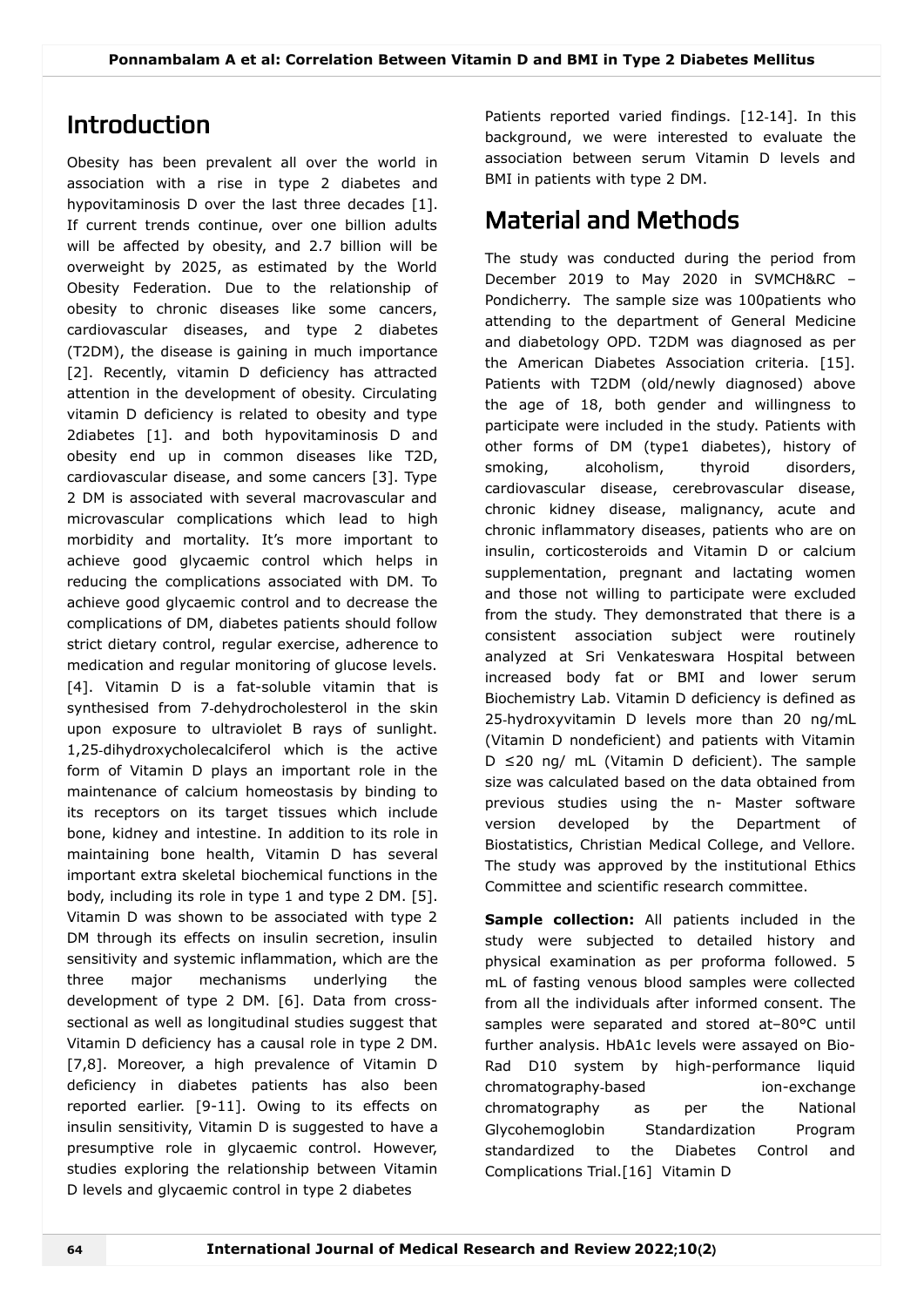## Introduction

Obesity has been prevalent all over the world in association with a rise in type 2 diabetes and hypovitaminosis D over the last three decades [1]. If current trends continue, over one billion adults will be affected by obesity, and 2.7 billion will be overweight by 2025, as estimated by the World Obesity Federation. Due to the relationship of obesity to chronic diseases like some cancers, cardiovascular diseases, and type 2 diabetes (T2DM), the disease is gaining in much importance [2]. Recently, vitamin D deficiency has attracted attention in the development of obesity. Circulating vitamin D deficiency is related to obesity and type 2diabetes [1]. and both hypovitaminosis D and obesity end up in common diseases like T2D, cardiovascular disease, and some cancers [3]. Type 2 DM is associated with several macrovascular and microvascular complications which lead to high morbidity and mortality. It's more important to achieve good glycaemic control which helps in reducing the complications associated with DM. To achieve good glycaemic control and to decrease the complications of DM, diabetes patients should follow strict dietary control, regular exercise, adherence to medication and regular monitoring of glucose levels. [4]. Vitamin D is a fat-soluble vitamin that is synthesised from 7-dehydrocholesterol in the skin upon exposure to ultraviolet B rays of sunlight. 1,25‑dihydroxycholecalciferol which is the active form of Vitamin D plays an important role in the maintenance of calcium homeostasis by binding to its receptors on its target tissues which include bone, kidney and intestine. In addition to its role in maintaining bone health, Vitamin D has several important extra skeletal biochemical functions in the body, including its role in type 1 and type 2 DM. [5]. Vitamin D was shown to be associated with type 2 DM through its effects on insulin secretion, insulin sensitivity and systemic inflammation, which are the three major mechanisms underlying the development of type 2 DM. [6]. Data from crosssectional as well as longitudinal studies suggest that Vitamin D deficiency has a causal role in type 2 DM. [7,8]. Moreover, a high prevalence of Vitamin D deficiency in diabetes patients has also been reported earlier. [9-11]. Owing to its effects on insulin sensitivity, Vitamin D is suggested to have a presumptive role in glycaemic control. However, studies exploring the relationship between Vitamin D levels and glycaemic control in type 2 diabetes

Patients reported varied findings. [12-14]. In this background, we were interested to evaluate the association between serum Vitamin D levels and BMI in patients with type 2 DM.

# Material and Methods

The study was conducted during the period from December 2019 to May 2020 in SVMCH&RC – Pondicherry. The sample size was 100patients who attending to the department of General Medicine and diabetology OPD. T2DM was diagnosed as per the American Diabetes Association criteria. [15]. Patients with T2DM (old/newly diagnosed) above the age of 18, both gender and willingness to participate were included in the study. Patients with other forms of DM (type1 diabetes), history of smoking, alcoholism, thyroid disorders, cardiovascular disease, cerebrovascular disease, chronic kidney disease, malignancy, acute and chronic inflammatory diseases, patients who are on insulin, corticosteroids and Vitamin D or calcium supplementation, pregnant and lactating women and those not willing to participate were excluded from the study. They demonstrated that there is a consistent association subject were routinely analyzed at Sri Venkateswara Hospital between increased body fat or BMI and lower serum Biochemistry Lab. Vitamin D deficiency is defined as 25-hydroxyvitamin D levels more than 20 ng/mL (Vitamin D nondeficient) and patients with Vitamin D ≤20 ng/ mL (Vitamin D deficient). The sample size was calculated based on the data obtained from previous studies using the n- Master software version developed by the Department of Biostatistics, Christian Medical College, and Vellore. The study was approved by the institutional Ethics Committee and scientific research committee.

**Sample collection:** All patients included in the study were subjected to detailed history and physical examination as per proforma followed. 5 mL of fasting venous blood samples were collected from all the individuals after informed consent. The samples were separated and stored at–80°C until further analysis. HbA1c levels were assayed on Bio-Rad D10 system by high-performance liquid chromatography‑based ion-exchange chromatography as per the National Glycohemoglobin Standardization Program standardized to the Diabetes Control and Complications Trial.[16] Vitamin D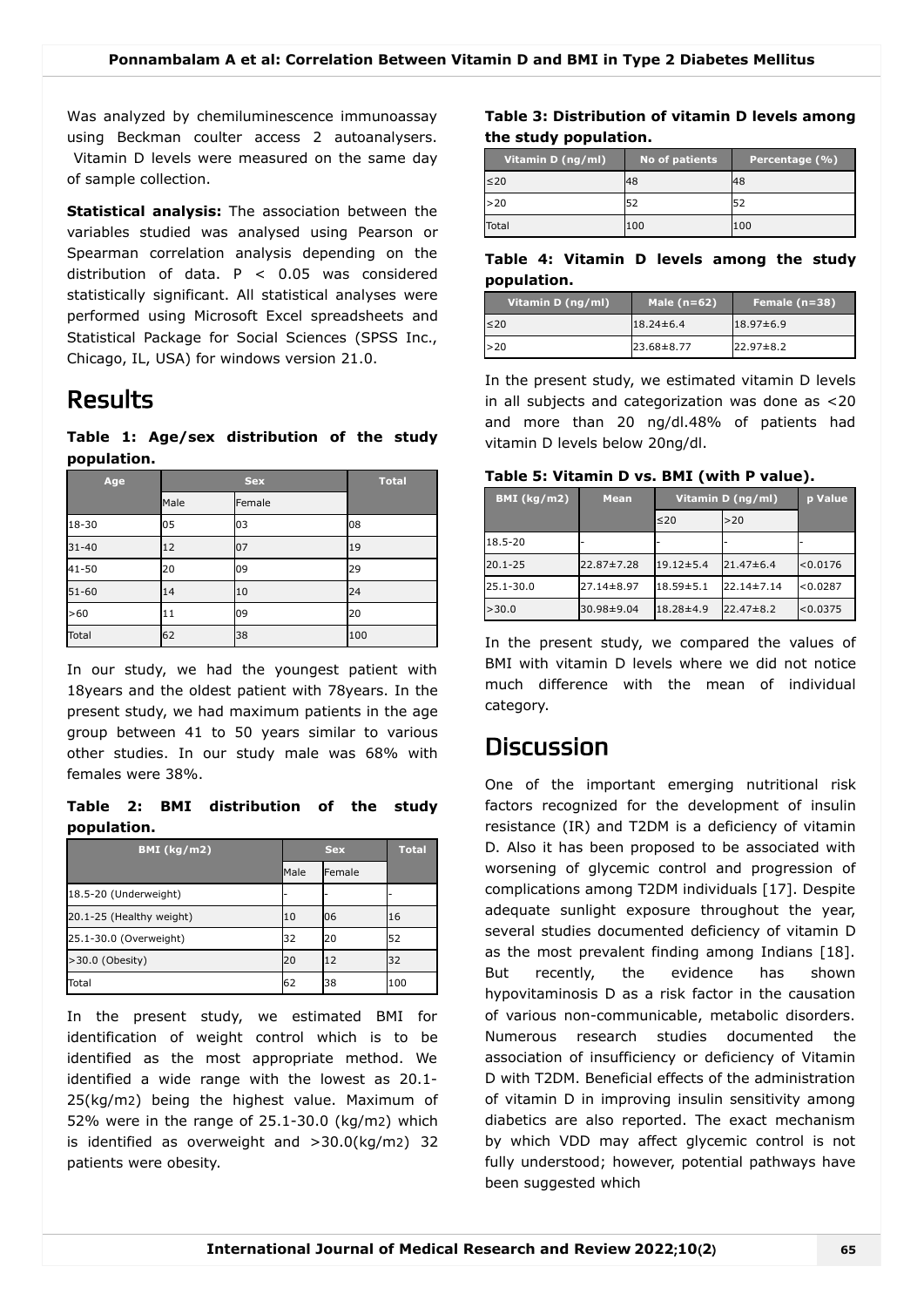Was analyzed by chemiluminescence immunoassay using Beckman coulter access 2 autoanalysers. Vitamin D levels were measured on the same day of sample collection.

**Statistical analysis:** The association between the variables studied was analysed using Pearson or Spearman correlation analysis depending on the distribution of data. P < 0.05 was considered statistically significant. All statistical analyses were performed using Microsoft Excel spreadsheets and Statistical Package for Social Sciences (SPSS Inc., Chicago, IL, USA) for windows version 21.0.

### Results

**Table 1: Age/sex distribution of the study population.**

| Age          | <b>Sex</b> |        | <b>Total</b> |
|--------------|------------|--------|--------------|
|              | Male       | Female |              |
| 18-30        | 05         | 03     | 08           |
| $31 - 40$    | 12         | 07     | 19           |
| 41-50        | 20         | 09     | 29           |
| $51 - 60$    | 14         | 10     | 24           |
| >60          | 11         | 09     | 20           |
| <b>Total</b> | 62         | 38     | 100          |

In our study, we had the youngest patient with 18years and the oldest patient with 78years. In the present study, we had maximum patients in the age group between 41 to 50 years similar to various other studies. In our study male was 68% with females were 38%.

**Table 2: BMI distribution of the study population.**

| <b>BMI</b> (kg/m2)       | <b>Sex</b> |        | <b>Total</b> |
|--------------------------|------------|--------|--------------|
|                          | Male       | Female |              |
| 18.5-20 (Underweight)    |            |        |              |
| 20.1-25 (Healthy weight) | 10         | 06     | 16           |
| 25.1-30.0 (Overweight)   | 32         | 20     | 52           |
| >30.0 (Obesity)          | 20         | 12     | 32           |
| Total                    | 62         | 38     | 100          |

In the present study, we estimated BMI for identification of weight control which is to be identified as the most appropriate method. We identified a wide range with the lowest as 20.1- 25(kg/m2) being the highest value. Maximum of 52% were in the range of 25.1-30.0 (kg/m2) which is identified as overweight and >30.0(kg/m2) 32 patients were obesity.

### **Table 3: Distribution of vitamin D levels among the study population.**

| Vitamin D (ng/ml) | No of patients | Percentage (%) |
|-------------------|----------------|----------------|
| $\leq 20$         | 48             | 48             |
| >20               | 52             |                |
| Total             | 100            | 100            |

### **Table 4: Vitamin D levels among the study population.**

| Vitamin D (ng/ml) | Male $(n=62)$   | Female $(n=38)$ |
|-------------------|-----------------|-----------------|
| $\leq 20$         | $18.24 \pm 6.4$ | $18.97 \pm 6.9$ |
| >20               | 23.68±8.77      | $22.97 \pm 8.2$ |

In the present study, we estimated vitamin D levels in all subjects and categorization was done as <20 and more than 20 ng/dl.48% of patients had vitamin D levels below 20ng/dl.

| Table 5: Vitamin D vs. BMI (with P value). |  |
|--------------------------------------------|--|
|--------------------------------------------|--|

| BMI (kg/m2) | <b>Mean</b> | Vitamin D (ng/ml) |                  | p Value  |
|-------------|-------------|-------------------|------------------|----------|
|             |             | ≤20               | >20              |          |
| 18.5-20     |             |                   |                  |          |
| $20.1 - 25$ | 22.87±7.28  | $19.12 \pm 5.4$   | $21.47\pm 6.4$   | < 0.0176 |
| 25.1-30.0   | 27.14±8.97  | $18.59 \pm 5.1$   | $22.14 \pm 7.14$ | < 0.0287 |
| >30.0       | 30.98±9.04  | 18.28±4.9         | $22.47 \pm 8.2$  | < 0.0375 |

In the present study, we compared the values of BMI with vitamin D levels where we did not notice much difference with the mean of individual category.

### **Discussion**

One of the important emerging nutritional risk factors recognized for the development of insulin resistance (IR) and T2DM is a deficiency of vitamin D. Also it has been proposed to be associated with worsening of glycemic control and progression of complications among T2DM individuals [17]. Despite adequate sunlight exposure throughout the year, several studies documented deficiency of vitamin D as the most prevalent finding among Indians [18]. But recently, the evidence has shown hypovitaminosis D as a risk factor in the causation of various non-communicable, metabolic disorders. Numerous research studies documented the association of insufficiency or deficiency of Vitamin D with T2DM. Beneficial effects of the administration of vitamin D in improving insulin sensitivity among diabetics are also reported. The exact mechanism by which VDD may affect glycemic control is not fully understood; however, potential pathways have been suggested which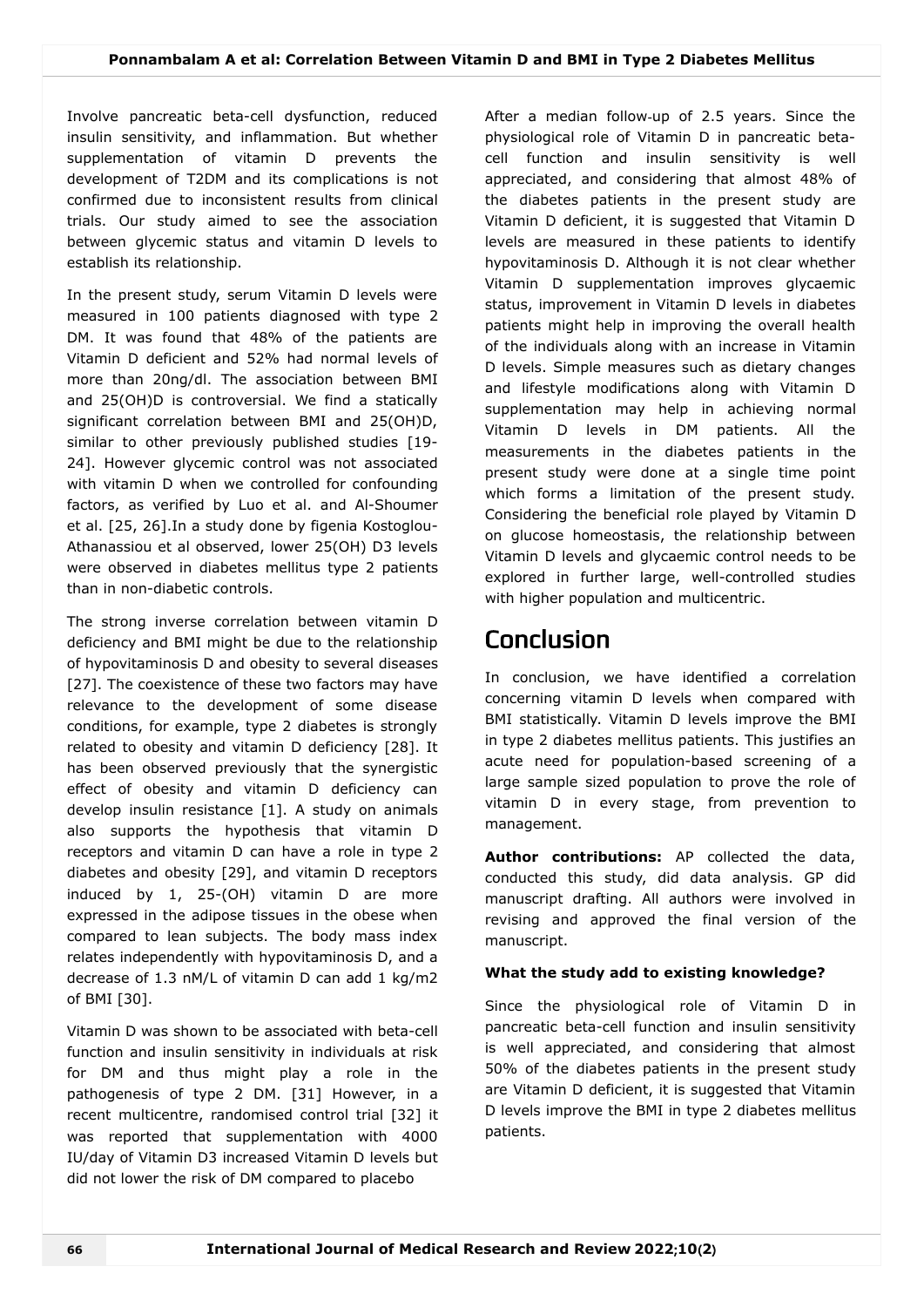Involve pancreatic beta-cell dysfunction, reduced insulin sensitivity, and inflammation. But whether supplementation of vitamin D prevents the development of T2DM and its complications is not confirmed due to inconsistent results from clinical trials. Our study aimed to see the association between glycemic status and vitamin D levels to establish its relationship.

In the present study, serum Vitamin D levels were measured in 100 patients diagnosed with type 2 DM. It was found that 48% of the patients are Vitamin D deficient and 52% had normal levels of more than 20ng/dl. The association between BMI and 25(OH)D is controversial. We find a statically significant correlation between BMI and 25(OH)D, similar to other previously published studies [19- 24]. However glycemic control was not associated with vitamin D when we controlled for confounding factors, as verified by Luo et al. and Al-Shoumer et al. [25, 26].In a study done by figenia Kostoglou-Athanassiou et al observed, lower 25(OH) D3 levels were observed in diabetes mellitus type 2 patients than in non-diabetic controls.

The strong inverse correlation between vitamin D deficiency and BMI might be due to the relationship of hypovitaminosis D and obesity to several diseases [27]. The coexistence of these two factors may have relevance to the development of some disease conditions, for example, type 2 diabetes is strongly related to obesity and vitamin D deficiency [28]. It has been observed previously that the synergistic effect of obesity and vitamin D deficiency can develop insulin resistance [1]. A study on animals also supports the hypothesis that vitamin D receptors and vitamin D can have a role in type 2 diabetes and obesity [29], and vitamin D receptors induced by 1, 25-(OH) vitamin D are more expressed in the adipose tissues in the obese when compared to lean subjects. The body mass index relates independently with hypovitaminosis D, and a decrease of 1.3 nM/L of vitamin D can add 1 kg/m2 of BMI [30].

Vitamin D was shown to be associated with beta-cell function and insulin sensitivity in individuals at risk for DM and thus might play a role in the pathogenesis of type 2 DM. [31] However, in a recent multicentre, randomised control trial [32] it was reported that supplementation with 4000 IU/day of Vitamin D3 increased Vitamin D levels but did not lower the risk of DM compared to placebo

After a median follow-up of 2.5 years. Since the physiological role of Vitamin D in pancreatic betacell function and insulin sensitivity is well appreciated, and considering that almost 48% of the diabetes patients in the present study are Vitamin D deficient, it is suggested that Vitamin D levels are measured in these patients to identify hypovitaminosis D. Although it is not clear whether Vitamin D supplementation improves glycaemic status, improvement in Vitamin D levels in diabetes patients might help in improving the overall health of the individuals along with an increase in Vitamin D levels. Simple measures such as dietary changes and lifestyle modifications along with Vitamin D supplementation may help in achieving normal Vitamin D levels in DM patients. All the measurements in the diabetes patients in the present study were done at a single time point which forms a limitation of the present study. Considering the beneficial role played by Vitamin D on glucose homeostasis, the relationship between Vitamin D levels and glycaemic control needs to be explored in further large, well-controlled studies with higher population and multicentric.

## Conclusion

In conclusion, we have identified a correlation concerning vitamin D levels when compared with BMI statistically. Vitamin D levels improve the BMI in type 2 diabetes mellitus patients. This justifies an acute need for population-based screening of a large sample sized population to prove the role of vitamin D in every stage, from prevention to management.

**Author contributions:** AP collected the data, conducted this study, did data analysis. GP did manuscript drafting. All authors were involved in revising and approved the final version of the manuscript.

### **What the study add to existing knowledge?**

Since the physiological role of Vitamin D in pancreatic beta-cell function and insulin sensitivity is well appreciated, and considering that almost 50% of the diabetes patients in the present study are Vitamin D deficient, it is suggested that Vitamin D levels improve the BMI in type 2 diabetes mellitus patients.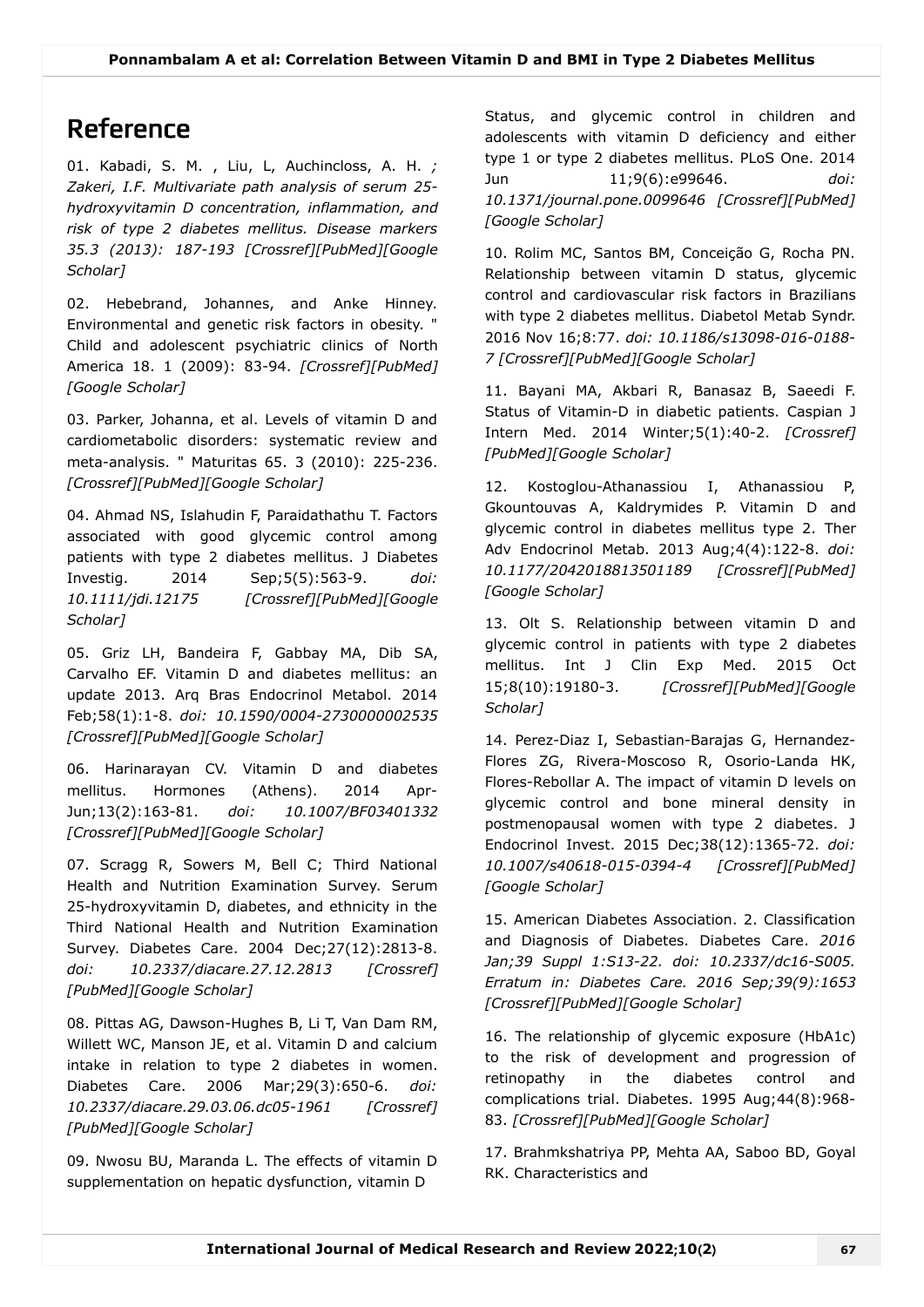# Reference

01. Kabadi, S. M. , Liu, L, Auchincloss, A. H. *; Zakeri, I.F. Multivariate path analysis of serum 25 hydroxyvitamin D concentration, inflammation, and risk of type 2 diabetes mellitus. Disease markers [35.3 \(2013\): 187-193 \[C](https://scholar.google.com/scholar_lookup?title=M)[rossref](https://search.crossref.org/?type-name=Journal+Article&q=M)[\]\[P](https://scholar.google.com/scholar_lookup?title=M)[ubMed](https://www.ncbi.nlm.nih.gov/pubmed/?term=M)[\]\[Google](https://scholar.google.com/scholar_lookup?title=M) Scholar]*

02. Hebebrand, Johannes, and Anke Hinney. Environmental and genetic risk factors in obesity. " Child and adolescent psychiatric clinics of North America 18. 1 (2009): 83-94. *[\[Crossref\]](https://search.crossref.org/?type-name=Journal+Article&q=Environmental%20and%20genetic%20risk%20factors%20in%20obesity)[\[PubMed](https://www.ncbi.nlm.nih.gov/pubmed/?term=Environmental%20and%20genetic%20risk%20factors%20in%20obesity)] [\[Google Scholar\]](https://scholar.google.com/scholar_lookup?title=Environmental%20and%20genetic%20risk%20factors%20in%20obesity)*

03. Parker, Johanna, et al. Levels of vitamin D and cardiometabolic disorders: systematic review and meta-analysis. " Maturitas 65. 3 (2010): 225-236. *[\[Crossref\]](https://search.crossref.org/?type-name=Journal+Article&q=Levels%20of%20vitamin%20D%20and%20cardiometabolic%20disorders:%20systematic%20review%20and%20meta-analysis)[[PubMed\]](https://www.ncbi.nlm.nih.gov/pubmed/?term=Levels%20of%20vitamin%20D%20and%20cardiometabolic%20disorders:%20systematic%20review%20and%20meta-analysis)[\[Google Scholar](https://scholar.google.com/scholar_lookup?title=Levels%20of%20vitamin%20D%20and%20cardiometabolic%20disorders:%20systematic%20review%20and%20meta-analysis)]*

04. Ahmad NS, Islahudin F, Paraidathathu T. Factors associated with good glycemic control among patients with type 2 diabetes mellitus. J Diabetes Investig. 2014 Sep;5(5):563-9. *doi: [10.1111/jdi.12175 \[](https://scholar.google.com/scholar_lookup?title=Factors%20associated%20with%20good%20glycemic%20control%20among%20patients%20with%20type%202%20diabetes%20mellitus)[Crossref](https://doi.org/10.1111/jdi.12175)[\]\[P](https://scholar.google.com/scholar_lookup?title=Factors%20associated%20with%20good%20glycemic%20control%20among%20patients%20with%20type%202%20diabetes%20mellitus)[ubMed](https://www.ncbi.nlm.nih.gov/pubmed/?term=Factors%20associated%20with%20good%20glycemic%20control%20among%20patients%20with%20type%202%20diabetes%20mellitus)[\]\[Google](https://scholar.google.com/scholar_lookup?title=Factors%20associated%20with%20good%20glycemic%20control%20among%20patients%20with%20type%202%20diabetes%20mellitus) Scholar]*

05. Griz LH, Bandeira F, Gabbay MA, Dib SA, Carvalho EF. Vitamin D and diabetes mellitus: an update 2013. Arq Bras Endocrinol Metabol. 2014 Feb;58(1):1-8. *doi: 10.1590/0004-2730000002535 [\[Crossref\]](https://doi.org/10.1590/0004-2730000002535)[[PubMed\]](https://www.ncbi.nlm.nih.gov/pubmed/?term=Vitamin%20D%20and%20diabetes%20mellitus:%20an%20update%202013)[\[Google Scholar](https://scholar.google.com/scholar_lookup?title=Vitamin%20D%20and%20diabetes%20mellitus:%20an%20update%202013)]*

06. Harinarayan CV. Vitamin D and diabetes mellitus. Hormones (Athens). 2014 Apr-Jun;13(2):163-81. *doi: 10.1007/BF03401332 [\[Crossref\]](https://doi.org/10.1007/BF03401332)[[PubMed\]](https://www.ncbi.nlm.nih.gov/pubmed/?term=Vitamin%20D%20and%20diabetes%20mellitus)[\[Google Scholar](https://scholar.google.com/scholar_lookup?title=Vitamin%20D%20and%20diabetes%20mellitus)]*

07. Scragg R, Sowers M, Bell C; Third National Health and Nutrition Examination Survey. Serum 25-hydroxyvitamin D, diabetes, and ethnicity in the Third National Health and Nutrition Examination Survey. Diabetes Care. 2004 Dec;27(12):2813-8. *doi: 10.2337/diacare.27.12.2813 [\[Crossref](https://doi.org/10.2337/diacare.27.12.2813)] [\[PubMed\]](https://www.ncbi.nlm.nih.gov/pubmed/?term=Serum%2025-hydroxyvitamin%20D,%20diabetes,%20and%20ethnicity%20in%20the%20Third%20National%20Health%20and%20Nutrition%20Examination%20Survey)[[Google Scholar\]](https://scholar.google.com/scholar_lookup?title=Serum%2025-hydroxyvitamin%20D,%20diabetes,%20and%20ethnicity%20in%20the%20Third%20National%20Health%20and%20Nutrition%20Examination%20Survey)*

08. Pittas AG, Dawson-Hughes B, Li T, Van Dam RM, Willett WC, Manson JE, et al. Vitamin D and calcium intake in relation to type 2 diabetes in women. Diabetes Care. 2006 Mar;29(3):650-6. *doi: 10.2337/diacare.29.03.06.dc05-1961 [[Crossref\]](https://doi.org/10.2337/diacare.29.03.06.dc05-1961) [\[PubMed\]](https://www.ncbi.nlm.nih.gov/pubmed/?term=Vitamin%20D%20and%20calcium%20intake%20in%20relation%20to%20type%202%20diabetes%20in%20women)[[Google Scholar\]](https://scholar.google.com/scholar_lookup?title=Vitamin%20D%20and%20calcium%20intake%20in%20relation%20to%20type%202%20diabetes%20in%20women)*

09. Nwosu BU, Maranda L. The effects of vitamin D supplementation on hepatic dysfunction, vitamin D

Status, and glycemic control in children and adolescents with vitamin D deficiency and either type 1 or type 2 diabetes mellitus. PLoS One. 2014 Jun 11;9(6):e99646. *doi: 10.1371/journal.pone.0099646 [[Crossref](https://doi.org/10.1371/journal.pone.0099646)][[PubMed](https://www.ncbi.nlm.nih.gov/pubmed/?term=The%20effects%20of%20vitamin%20D%20supplementation%20on%20hepatic%20dysfunction,%20vitamin%20D%20status,%20and%20glycemic%20control%20in%20children%20and%20adolescents%20with%20vitamin%20D%20deficiency%20and%20either%20type%201%20or%20type%202%20diabetes%20mellitus)] [[Google Scholar\]](https://scholar.google.com/scholar_lookup?title=The%20effects%20of%20vitamin%20D%20supplementation%20on%20hepatic%20dysfunction,%20vitamin%20D%20status,%20and%20glycemic%20control%20in%20children%20and%20adolescents%20with%20vitamin%20D%20deficiency%20and%20either%20type%201%20or%20type%202%20diabetes%20mellitus)*

10. Rolim MC, Santos BM, Conceição G, Rocha PN. Relationship between vitamin D status, glycemic control and cardiovascular risk factors in Brazilians with type 2 diabetes mellitus. Diabetol Metab Syndr. 2016 Nov 16;8:77. *doi: 10.1186/s13098-016-0188- 7 [[Crossref\]](https://doi.org/10.1186/s13098-016-0188-7)[[PubMed](https://www.ncbi.nlm.nih.gov/pubmed/?term=Relationship%20between%20vitamin%20D%20status,%20glycemic%20control%20and%20cardiovascular%20risk%20factors%20in%20Brazilians%20with%20type%202%20diabetes%20mellitus)][\[Google Scholar](https://scholar.google.com/scholar_lookup?title=Relationship%20between%20vitamin%20D%20status,%20glycemic%20control%20and%20cardiovascular%20risk%20factors%20in%20Brazilians%20with%20type%202%20diabetes%20mellitus)]*

11. Bayani MA, Akbari R, Banasaz B, Saeedi F. Status of Vitamin-D in diabetic patients. Caspian J Intern Med. 2014 Winter;5(1):40-2. *[\[Crossref\]](https://search.crossref.org/?type-name=Journal+Article&q=Status%20of%20Vitamin-D%20in%20diabetic%20patients) [[PubMed\]](https://www.ncbi.nlm.nih.gov/pubmed/?term=Status%20of%20Vitamin-D%20in%20diabetic%20patients)[\[Google Scholar](https://scholar.google.com/scholar_lookup?title=Status%20of%20Vitamin-D%20in%20diabetic%20patients)]*

12. Kostoglou-Athanassiou I, Athanassiou P, Gkountouvas A, Kaldrymides P. Vitamin D and glycemic control in diabetes mellitus type 2. Ther Adv Endocrinol Metab. 2013 Aug;4(4):122-8. *doi: 10.1177/2042018813501189 [[Crossref\]](https://doi.org/10.1177/2042018813501189)[\[PubMed](https://www.ncbi.nlm.nih.gov/pubmed/?term=Vitamin%20D%20and%20glycemic%20control%20in%20diabetes%20mellitus%20type%202)] [[Google Scholar\]](https://scholar.google.com/scholar_lookup?title=Vitamin%20D%20and%20glycemic%20control%20in%20diabetes%20mellitus%20type%202)*

13. Olt S. Relationship between vitamin D and glycemic control in patients with type 2 diabetes mellitus. Int J Clin Exp Med. 2015 Oct 15;8(10):19180-3. *[\[](https://scholar.google.com/scholar_lookup?title=Relationship%20between%20vitamin%20D%20and%20glycemic%20control%20in%20patients%20with%20type%202%20diabetes%20mellitus)[Crossre](https://search.crossref.org/?type-name=Journal+Article&q=Relationship%20between%20vitamin%20D%20and%20glycemic%20control%20in%20patients%20with%20type%202%20diabetes%20mellitus)[f\]\[](https://scholar.google.com/scholar_lookup?title=Relationship%20between%20vitamin%20D%20and%20glycemic%20control%20in%20patients%20with%20type%202%20diabetes%20mellitus)[PubMed](https://www.ncbi.nlm.nih.gov/pubmed/?term=Relationship%20between%20vitamin%20D%20and%20glycemic%20control%20in%20patients%20with%20type%202%20diabetes%20mellitus)[\]\[Google](https://scholar.google.com/scholar_lookup?title=Relationship%20between%20vitamin%20D%20and%20glycemic%20control%20in%20patients%20with%20type%202%20diabetes%20mellitus) Scholar]*

14. Perez-Diaz I, Sebastian-Barajas G, Hernandez-Flores ZG, Rivera-Moscoso R, Osorio-Landa HK, Flores-Rebollar A. The impact of vitamin D levels on glycemic control and bone mineral density in postmenopausal women with type 2 diabetes. J Endocrinol Invest. 2015 Dec;38(12):1365-72. *doi: 10.1007/s40618-015-0394-4 [[Crossref](https://doi.org/10.1007/s40618-015-0394-4)][[PubMed](https://www.ncbi.nlm.nih.gov/pubmed/?term=The%20impact%20of%20vitamin%20D%20levels%20on%20glycemic%20control%20and%20bone%20mineral%20density%20in%20postmenopausal%20women%20with%20type%202%20diabetes)] [[Google Scholar\]](https://scholar.google.com/scholar_lookup?title=The%20impact%20of%20vitamin%20D%20levels%20on%20glycemic%20control%20and%20bone%20mineral%20density%20in%20postmenopausal%20women%20with%20type%202%20diabetes)*

15. American Diabetes Association. 2. Classification and Diagnosis of Diabetes. Diabetes Care. *2016 Jan;39 Suppl 1:S13-22. doi: 10.2337/dc16-S005. Erratum in: Diabetes Care. 2016 Sep;39(9):1653 [[Crossref\]](https://doi.org/10.2337/dc16-S005.)[\[PubMed\]](https://www.ncbi.nlm.nih.gov/pubmed/?term=2)[[Google Scholar](https://scholar.google.com/scholar_lookup?title=2)]*

16. The relationship of glycemic exposure (HbA1c) to the risk of development and progression of retinopathy in the diabetes control and complications trial. Diabetes. 1995 Aug;44(8):968- 83. *[[Crossref\]](https://search.crossref.org/?type-name=Journal+Article&q=Diabetes)[[PubMed](https://www.ncbi.nlm.nih.gov/pubmed/?term=Diabetes)][\[Google Scholar](https://scholar.google.com/scholar_lookup?title=Diabetes)]*

17. Brahmkshatriya PP, Mehta AA, Saboo BD, Goyal RK. Characteristics and